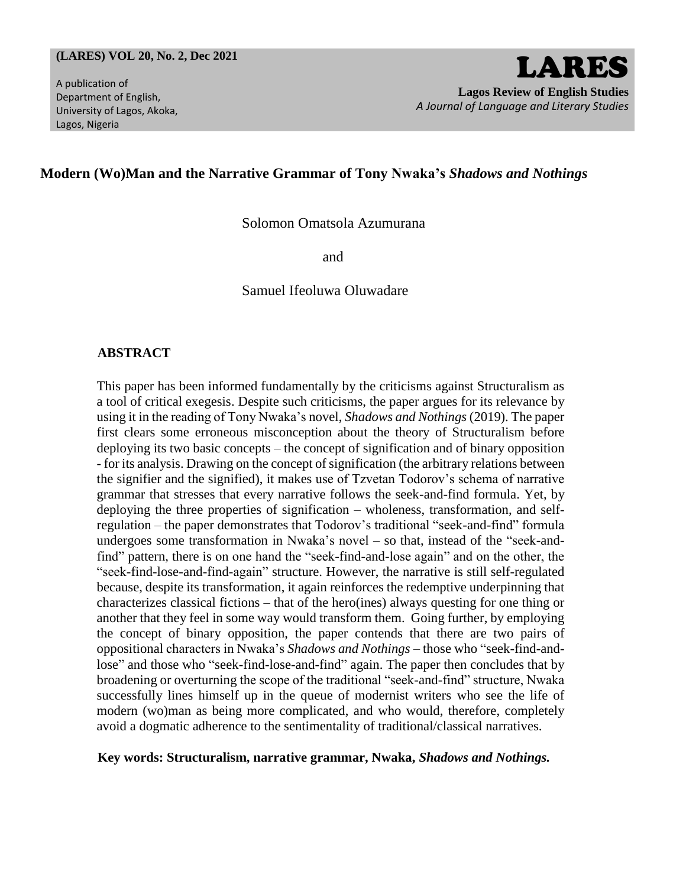#### **(LARES) VOL 20, No. 2, Dec 2021**

A publication of Department of English, University of Lagos, Akoka, Lagos, Nigeria

# **Modern (Wo)Man and the Narrative Grammar of Tony Nwaka's** *Shadows and Nothings*

Solomon Omatsola Azumurana

and

Samuel Ifeoluwa Oluwadare

## **ABSTRACT**

This paper has been informed fundamentally by the criticisms against Structuralism as a tool of critical exegesis. Despite such criticisms, the paper argues for its relevance by using it in the reading of Tony Nwaka's novel, *Shadows and Nothings* (2019). The paper first clears some erroneous misconception about the theory of Structuralism before deploying its two basic concepts – the concept of signification and of binary opposition - for its analysis. Drawing on the concept of signification (the arbitrary relations between the signifier and the signified), it makes use of Tzvetan Todorov's schema of narrative grammar that stresses that every narrative follows the seek-and-find formula. Yet, by deploying the three properties of signification – wholeness, transformation, and selfregulation – the paper demonstrates that Todorov's traditional "seek-and-find" formula undergoes some transformation in Nwaka's novel – so that, instead of the "seek-andfind" pattern, there is on one hand the "seek-find-and-lose again" and on the other, the "seek-find-lose-and-find-again" structure. However, the narrative is still self-regulated because, despite its transformation, it again reinforces the redemptive underpinning that characterizes classical fictions – that of the hero(ines) always questing for one thing or another that they feel in some way would transform them. Going further, by employing the concept of binary opposition, the paper contends that there are two pairs of oppositional characters in Nwaka's *Shadows and Nothings* – those who "seek-find-andlose" and those who "seek-find-lose-and-find" again. The paper then concludes that by broadening or overturning the scope of the traditional "seek-and-find" structure, Nwaka successfully lines himself up in the queue of modernist writers who see the life of modern (wo)man as being more complicated, and who would, therefore, completely avoid a dogmatic adherence to the sentimentality of traditional/classical narratives.

#### **Key words: Structuralism, narrative grammar, Nwaka,** *Shadows and Nothings.*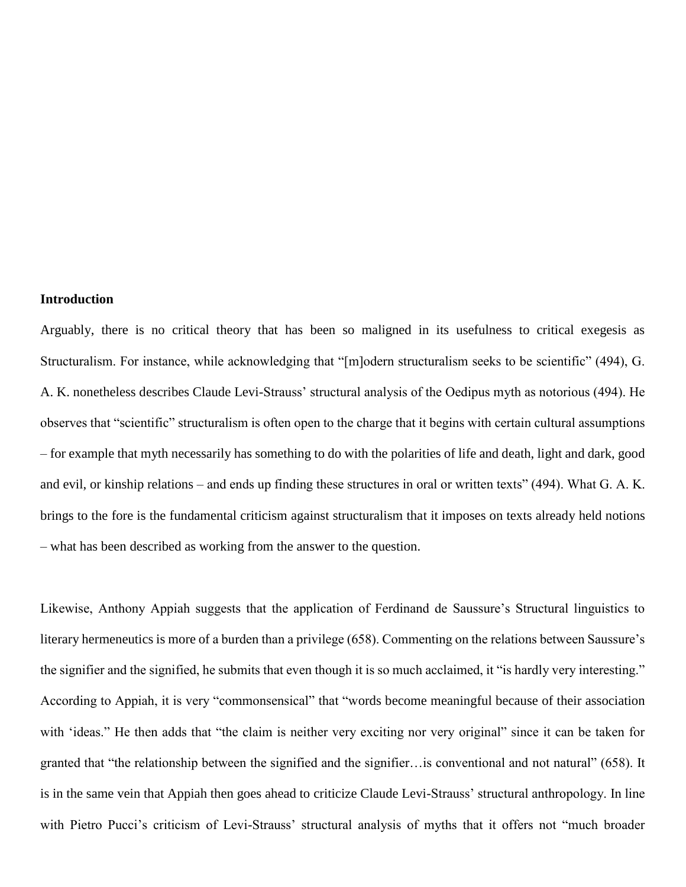#### **Introduction**

Arguably, there is no critical theory that has been so maligned in its usefulness to critical exegesis as Structuralism. For instance, while acknowledging that "[m]odern structuralism seeks to be scientific" (494), G. A. K. nonetheless describes Claude Levi-Strauss' structural analysis of the Oedipus myth as notorious (494). He observes that "scientific" structuralism is often open to the charge that it begins with certain cultural assumptions – for example that myth necessarily has something to do with the polarities of life and death, light and dark, good and evil, or kinship relations – and ends up finding these structures in oral or written texts" (494). What G. A. K. brings to the fore is the fundamental criticism against structuralism that it imposes on texts already held notions – what has been described as working from the answer to the question.

Likewise, Anthony Appiah suggests that the application of Ferdinand de Saussure's Structural linguistics to literary hermeneutics is more of a burden than a privilege (658). Commenting on the relations between Saussure's the signifier and the signified, he submits that even though it is so much acclaimed, it "is hardly very interesting." According to Appiah, it is very "commonsensical" that "words become meaningful because of their association with 'ideas." He then adds that "the claim is neither very exciting nor very original" since it can be taken for granted that "the relationship between the signified and the signifier…is conventional and not natural" (658). It is in the same vein that Appiah then goes ahead to criticize Claude Levi-Strauss' structural anthropology. In line with Pietro Pucci's criticism of Levi-Strauss' structural analysis of myths that it offers not "much broader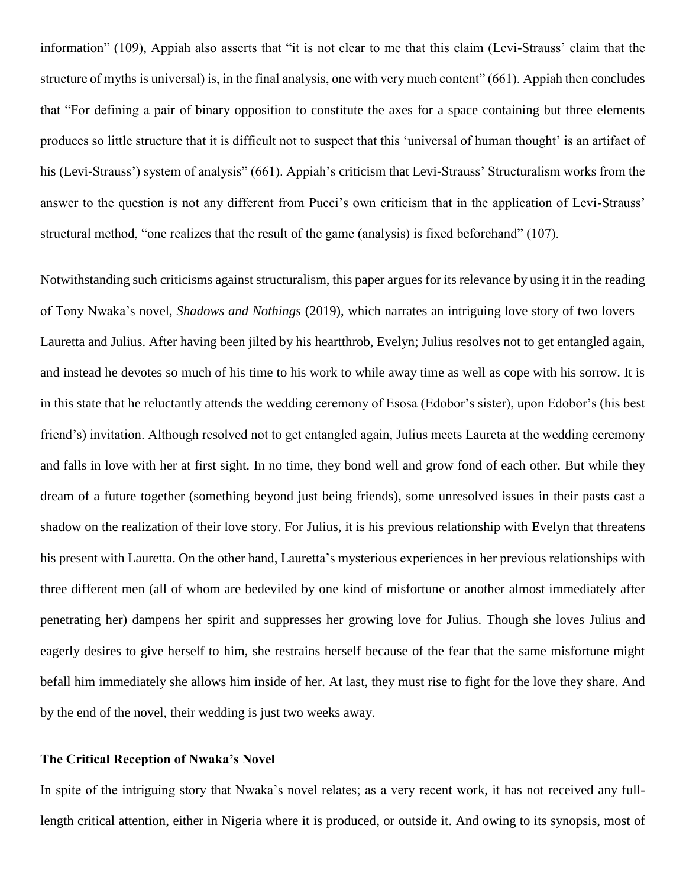information" (109), Appiah also asserts that "it is not clear to me that this claim (Levi-Strauss' claim that the structure of myths is universal) is, in the final analysis, one with very much content" (661). Appiah then concludes that "For defining a pair of binary opposition to constitute the axes for a space containing but three elements produces so little structure that it is difficult not to suspect that this 'universal of human thought' is an artifact of his (Levi-Strauss') system of analysis" (661). Appiah's criticism that Levi-Strauss' Structuralism works from the answer to the question is not any different from Pucci's own criticism that in the application of Levi-Strauss' structural method, "one realizes that the result of the game (analysis) is fixed beforehand" (107).

Notwithstanding such criticisms against structuralism, this paper argues for its relevance by using it in the reading of Tony Nwaka's novel, *Shadows and Nothings* (2019), which narrates an intriguing love story of two lovers – Lauretta and Julius. After having been jilted by his heartthrob, Evelyn; Julius resolves not to get entangled again, and instead he devotes so much of his time to his work to while away time as well as cope with his sorrow. It is in this state that he reluctantly attends the wedding ceremony of Esosa (Edobor's sister), upon Edobor's (his best friend's) invitation. Although resolved not to get entangled again, Julius meets Laureta at the wedding ceremony and falls in love with her at first sight. In no time, they bond well and grow fond of each other. But while they dream of a future together (something beyond just being friends), some unresolved issues in their pasts cast a shadow on the realization of their love story. For Julius, it is his previous relationship with Evelyn that threatens his present with Lauretta. On the other hand, Lauretta's mysterious experiences in her previous relationships with three different men (all of whom are bedeviled by one kind of misfortune or another almost immediately after penetrating her) dampens her spirit and suppresses her growing love for Julius. Though she loves Julius and eagerly desires to give herself to him, she restrains herself because of the fear that the same misfortune might befall him immediately she allows him inside of her. At last, they must rise to fight for the love they share. And by the end of the novel, their wedding is just two weeks away.

## **The Critical Reception of Nwaka's Novel**

In spite of the intriguing story that Nwaka's novel relates; as a very recent work, it has not received any fulllength critical attention, either in Nigeria where it is produced, or outside it. And owing to its synopsis, most of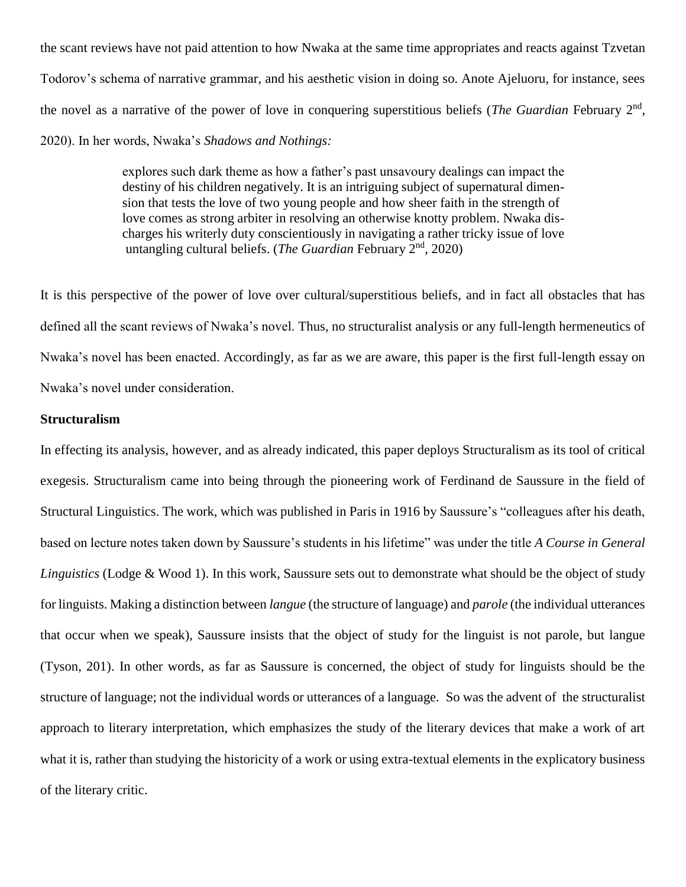the scant reviews have not paid attention to how Nwaka at the same time appropriates and reacts against Tzvetan Todorov's schema of narrative grammar, and his aesthetic vision in doing so. Anote Ajeluoru, for instance, sees the novel as a narrative of the power of love in conquering superstitious beliefs (*The Guardian* February 2nd , 2020). In her words, Nwaka's *Shadows and Nothings:*

> explores such dark theme as how a father's past unsavoury dealings can impact the destiny of his children negatively. It is an intriguing subject of supernatural dimen sion that tests the love of two young people and how sheer faith in the strength of love comes as strong arbiter in resolving an otherwise knotty problem. Nwaka dis charges his writerly duty conscientiously in navigating a rather tricky issue of love untangling cultural beliefs. (*The Guardian* February 2nd, 2020)

It is this perspective of the power of love over cultural/superstitious beliefs, and in fact all obstacles that has defined all the scant reviews of Nwaka's novel. Thus, no structuralist analysis or any full-length hermeneutics of Nwaka's novel has been enacted. Accordingly, as far as we are aware, this paper is the first full-length essay on Nwaka's novel under consideration.

# **Structuralism**

In effecting its analysis, however, and as already indicated, this paper deploys Structuralism as its tool of critical exegesis. Structuralism came into being through the pioneering work of Ferdinand de Saussure in the field of Structural Linguistics. The work, which was published in Paris in 1916 by Saussure's "colleagues after his death, based on lecture notes taken down by Saussure's students in his lifetime" was under the title *A Course in General Linguistics* (Lodge & Wood 1). In this work, Saussure sets out to demonstrate what should be the object of study for linguists. Making a distinction between *langue* (the structure of language) and *parole* (the individual utterances that occur when we speak), Saussure insists that the object of study for the linguist is not parole, but langue (Tyson, 201). In other words, as far as Saussure is concerned, the object of study for linguists should be the structure of language; not the individual words or utterances of a language. So was the advent of the structuralist approach to literary interpretation, which emphasizes the study of the literary devices that make a work of art what it is, rather than studying the historicity of a work or using extra-textual elements in the explicatory business of the literary critic.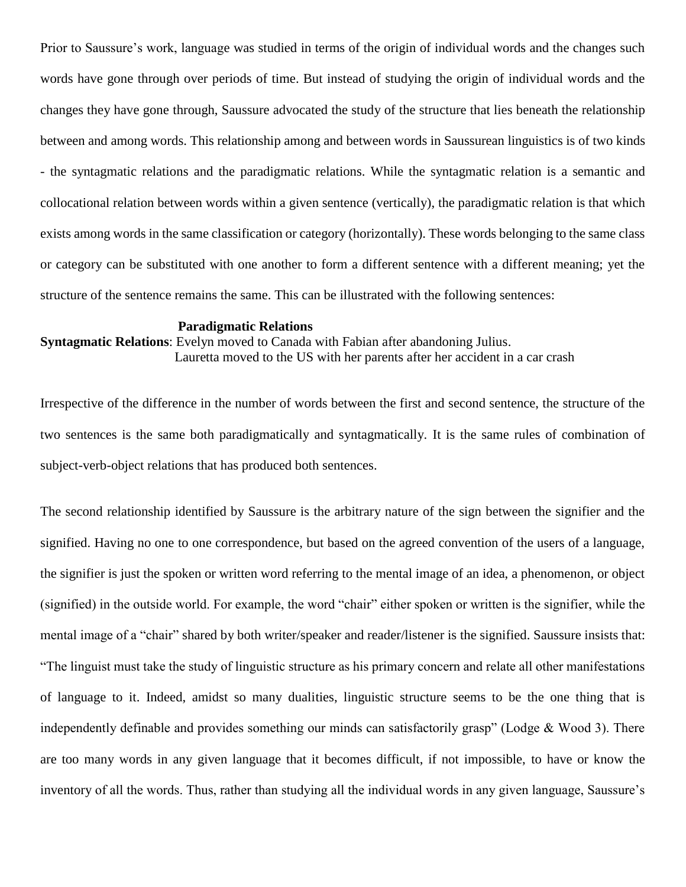Prior to Saussure's work, language was studied in terms of the origin of individual words and the changes such words have gone through over periods of time. But instead of studying the origin of individual words and the changes they have gone through, Saussure advocated the study of the structure that lies beneath the relationship between and among words. This relationship among and between words in Saussurean linguistics is of two kinds - the syntagmatic relations and the paradigmatic relations. While the syntagmatic relation is a semantic and collocational relation between words within a given sentence (vertically), the paradigmatic relation is that which exists among words in the same classification or category (horizontally). These words belonging to the same class or category can be substituted with one another to form a different sentence with a different meaning; yet the structure of the sentence remains the same. This can be illustrated with the following sentences:

### **Paradigmatic Relations**

**Syntagmatic Relations**: Evelyn moved to Canada with Fabian after abandoning Julius. Lauretta moved to the US with her parents after her accident in a car crash

Irrespective of the difference in the number of words between the first and second sentence, the structure of the two sentences is the same both paradigmatically and syntagmatically. It is the same rules of combination of subject-verb-object relations that has produced both sentences.

The second relationship identified by Saussure is the arbitrary nature of the sign between the signifier and the signified. Having no one to one correspondence, but based on the agreed convention of the users of a language, the signifier is just the spoken or written word referring to the mental image of an idea, a phenomenon, or object (signified) in the outside world. For example, the word "chair" either spoken or written is the signifier, while the mental image of a "chair" shared by both writer/speaker and reader/listener is the signified. Saussure insists that: "The linguist must take the study of linguistic structure as his primary concern and relate all other manifestations of language to it. Indeed, amidst so many dualities, linguistic structure seems to be the one thing that is independently definable and provides something our minds can satisfactorily grasp" (Lodge  $&$  Wood 3). There are too many words in any given language that it becomes difficult, if not impossible, to have or know the inventory of all the words. Thus, rather than studying all the individual words in any given language, Saussure's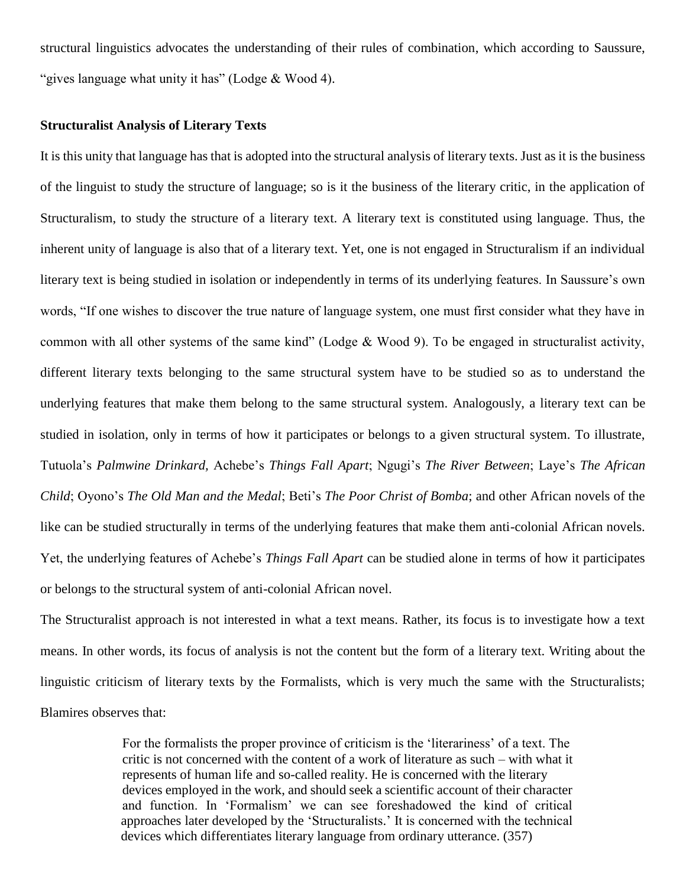structural linguistics advocates the understanding of their rules of combination, which according to Saussure, "gives language what unity it has" (Lodge & Wood 4).

# **Structuralist Analysis of Literary Texts**

It is this unity that language has that is adopted into the structural analysis of literary texts. Just as it is the business of the linguist to study the structure of language; so is it the business of the literary critic, in the application of Structuralism, to study the structure of a literary text. A literary text is constituted using language. Thus, the inherent unity of language is also that of a literary text. Yet, one is not engaged in Structuralism if an individual literary text is being studied in isolation or independently in terms of its underlying features. In Saussure's own words, "If one wishes to discover the true nature of language system, one must first consider what they have in common with all other systems of the same kind" (Lodge & Wood 9). To be engaged in structuralist activity, different literary texts belonging to the same structural system have to be studied so as to understand the underlying features that make them belong to the same structural system. Analogously, a literary text can be studied in isolation, only in terms of how it participates or belongs to a given structural system. To illustrate, Tutuola's *Palmwine Drinkard,* Achebe's *Things Fall Apart*; Ngugi's *The River Between*; Laye's *The African Child*; Oyono's *The Old Man and the Medal*; Beti's *The Poor Christ of Bomba*; and other African novels of the like can be studied structurally in terms of the underlying features that make them anti-colonial African novels. Yet, the underlying features of Achebe's *Things Fall Apart* can be studied alone in terms of how it participates or belongs to the structural system of anti-colonial African novel.

The Structuralist approach is not interested in what a text means. Rather, its focus is to investigate how a text means. In other words, its focus of analysis is not the content but the form of a literary text. Writing about the linguistic criticism of literary texts by the Formalists, which is very much the same with the Structuralists; Blamires observes that:

> For the formalists the proper province of criticism is the 'literariness' of a text. The critic is not concerned with the content of a work of literature as such – with what it represents of human life and so-called reality. He is concerned with the literary devices employed in the work, and should seek a scientific account of their character and function. In 'Formalism' we can see foreshadowed the kind of critical approaches later developed by the 'Structuralists.' It is concerned with the technical devices which differentiates literary language from ordinary utterance. (357)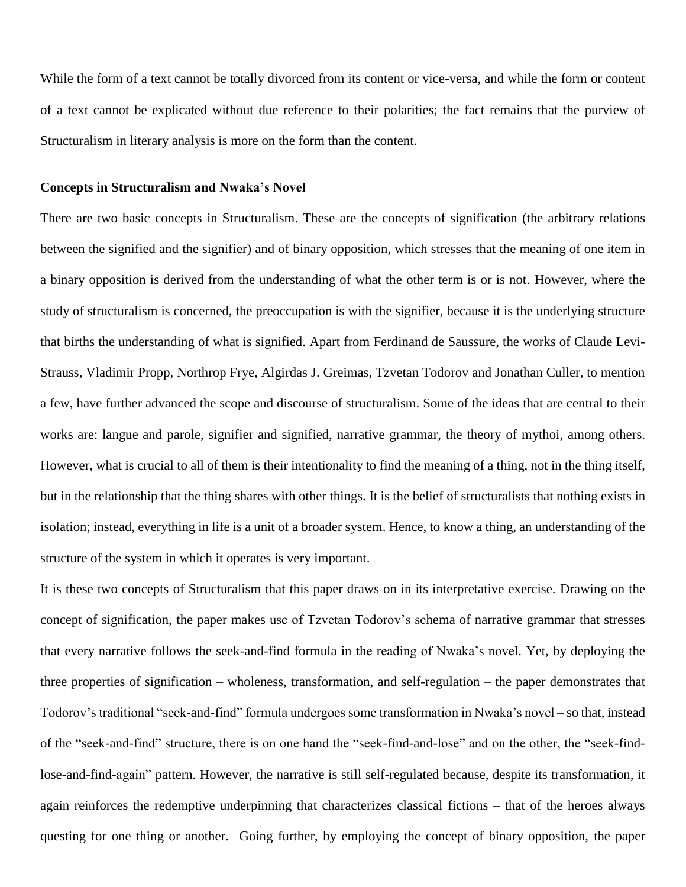While the form of a text cannot be totally divorced from its content or vice-versa, and while the form or content of a text cannot be explicated without due reference to their polarities; the fact remains that the purview of Structuralism in literary analysis is more on the form than the content.

## **Concepts in Structuralism and Nwaka's Novel**

There are two basic concepts in Structuralism. These are the concepts of signification (the arbitrary relations between the signified and the signifier) and of binary opposition, which stresses that the meaning of one item in a binary opposition is derived from the understanding of what the other term is or is not. However, where the study of structuralism is concerned, the preoccupation is with the signifier, because it is the underlying structure that births the understanding of what is signified. Apart from Ferdinand de Saussure, the works of Claude Levi-Strauss, Vladimir Propp, Northrop Frye, Algirdas J. Greimas, Tzvetan Todorov and Jonathan Culler, to mention a few, have further advanced the scope and discourse of structuralism. Some of the ideas that are central to their works are: langue and parole, signifier and signified, narrative grammar, the theory of mythoi, among others. However, what is crucial to all of them is their intentionality to find the meaning of a thing, not in the thing itself, but in the relationship that the thing shares with other things. It is the belief of structuralists that nothing exists in isolation; instead, everything in life is a unit of a broader system. Hence, to know a thing, an understanding of the structure of the system in which it operates is very important.

It is these two concepts of Structuralism that this paper draws on in its interpretative exercise. Drawing on the concept of signification, the paper makes use of Tzvetan Todorov's schema of narrative grammar that stresses that every narrative follows the seek-and-find formula in the reading of Nwaka's novel. Yet, by deploying the three properties of signification – wholeness, transformation, and self-regulation – the paper demonstrates that Todorov's traditional "seek-and-find" formula undergoes some transformation in Nwaka's novel – so that, instead of the "seek-and-find" structure, there is on one hand the "seek-find-and-lose" and on the other, the "seek-findlose-and-find-again" pattern. However, the narrative is still self-regulated because, despite its transformation, it again reinforces the redemptive underpinning that characterizes classical fictions – that of the heroes always questing for one thing or another. Going further, by employing the concept of binary opposition, the paper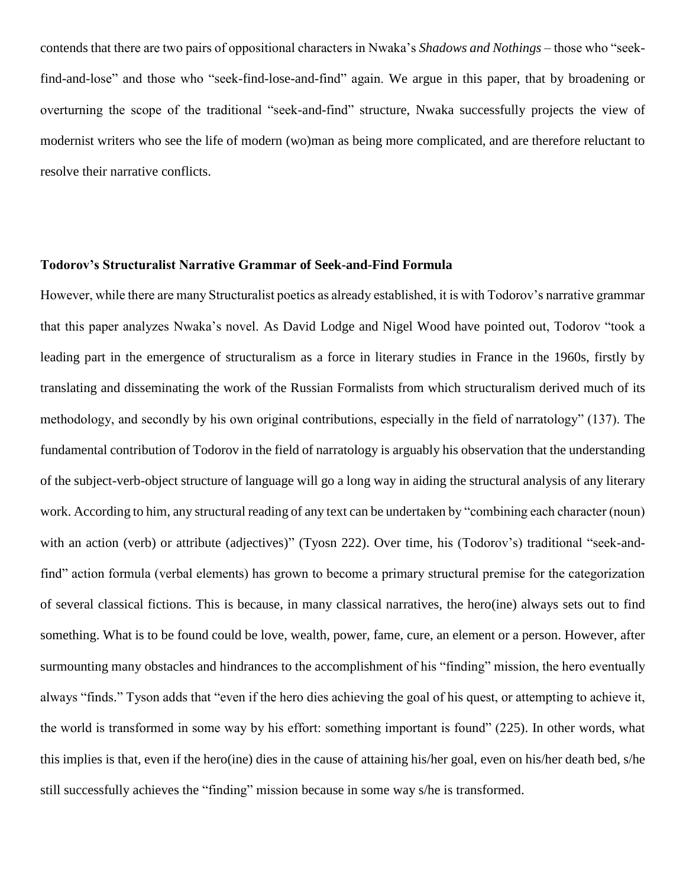contends that there are two pairs of oppositional characters in Nwaka's *Shadows and Nothings* – those who "seekfind-and-lose" and those who "seek-find-lose-and-find" again. We argue in this paper, that by broadening or overturning the scope of the traditional "seek-and-find" structure, Nwaka successfully projects the view of modernist writers who see the life of modern (wo)man as being more complicated, and are therefore reluctant to resolve their narrative conflicts.

## **Todorov's Structuralist Narrative Grammar of Seek-and-Find Formula**

However, while there are many Structuralist poetics as already established, it is with Todorov's narrative grammar that this paper analyzes Nwaka's novel. As David Lodge and Nigel Wood have pointed out, Todorov "took a leading part in the emergence of structuralism as a force in literary studies in France in the 1960s, firstly by translating and disseminating the work of the Russian Formalists from which structuralism derived much of its methodology, and secondly by his own original contributions, especially in the field of narratology" (137). The fundamental contribution of Todorov in the field of narratology is arguably his observation that the understanding of the subject-verb-object structure of language will go a long way in aiding the structural analysis of any literary work. According to him, any structural reading of any text can be undertaken by "combining each character (noun) with an action (verb) or attribute (adjectives)" (Tyosn 222). Over time, his (Todorov's) traditional "seek-andfind" action formula (verbal elements) has grown to become a primary structural premise for the categorization of several classical fictions. This is because, in many classical narratives, the hero(ine) always sets out to find something. What is to be found could be love, wealth, power, fame, cure, an element or a person. However, after surmounting many obstacles and hindrances to the accomplishment of his "finding" mission, the hero eventually always "finds." Tyson adds that "even if the hero dies achieving the goal of his quest, or attempting to achieve it, the world is transformed in some way by his effort: something important is found" (225). In other words, what this implies is that, even if the hero(ine) dies in the cause of attaining his/her goal, even on his/her death bed, s/he still successfully achieves the "finding" mission because in some way s/he is transformed.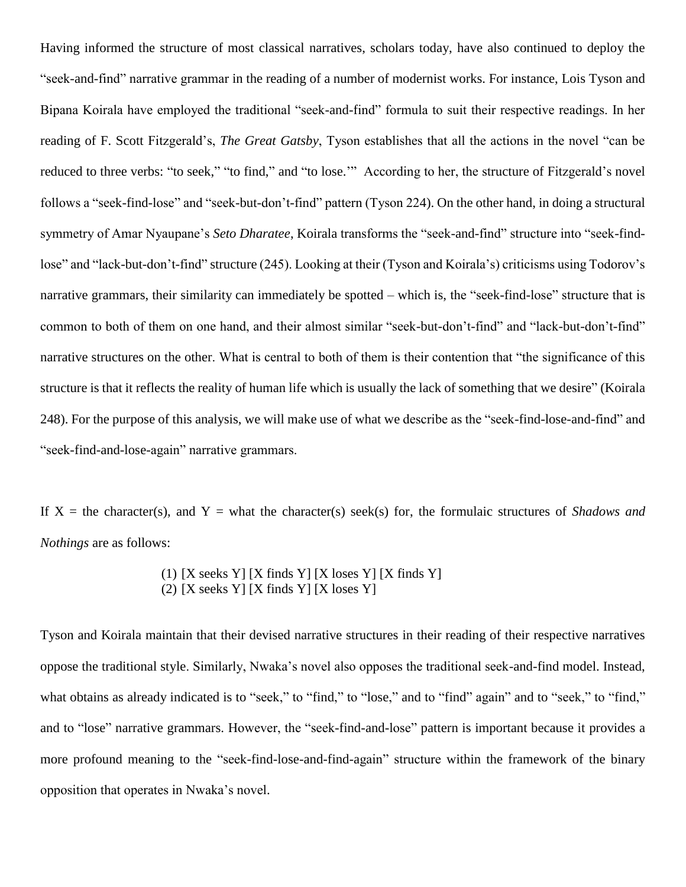Having informed the structure of most classical narratives, scholars today, have also continued to deploy the "seek-and-find" narrative grammar in the reading of a number of modernist works. For instance, Lois Tyson and Bipana Koirala have employed the traditional "seek-and-find" formula to suit their respective readings. In her reading of F. Scott Fitzgerald's, *The Great Gatsby*, Tyson establishes that all the actions in the novel "can be reduced to three verbs: "to seek," "to find," and "to lose.'" According to her, the structure of Fitzgerald's novel follows a "seek-find-lose" and "seek-but-don't-find" pattern (Tyson 224). On the other hand, in doing a structural symmetry of Amar Nyaupane's *Seto Dharatee*, Koirala transforms the "seek-and-find" structure into "seek-findlose" and "lack-but-don't-find" structure (245). Looking at their (Tyson and Koirala's) criticisms using Todorov's narrative grammars, their similarity can immediately be spotted – which is, the "seek-find-lose" structure that is common to both of them on one hand, and their almost similar "seek-but-don't-find" and "lack-but-don't-find" narrative structures on the other. What is central to both of them is their contention that "the significance of this structure is that it reflects the reality of human life which is usually the lack of something that we desire" (Koirala 248). For the purpose of this analysis, we will make use of what we describe as the "seek-find-lose-and-find" and "seek-find-and-lose-again" narrative grammars.

If  $X =$  the character(s), and  $Y =$  what the character(s) seek(s) for, the formulaic structures of *Shadows and Nothings* are as follows:

> (1)  $[X \text{ seeks } Y] [X \text{ finds } Y] [X \text{ loses } Y] [X \text{ finds } Y]$ (2) [X seeks Y] [X finds Y] [X loses Y]

Tyson and Koirala maintain that their devised narrative structures in their reading of their respective narratives oppose the traditional style. Similarly, Nwaka's novel also opposes the traditional seek-and-find model. Instead, what obtains as already indicated is to "seek," to "find," to "lose," and to "find" again" and to "seek," to "find," and to "lose" narrative grammars. However, the "seek-find-and-lose" pattern is important because it provides a more profound meaning to the "seek-find-lose-and-find-again" structure within the framework of the binary opposition that operates in Nwaka's novel.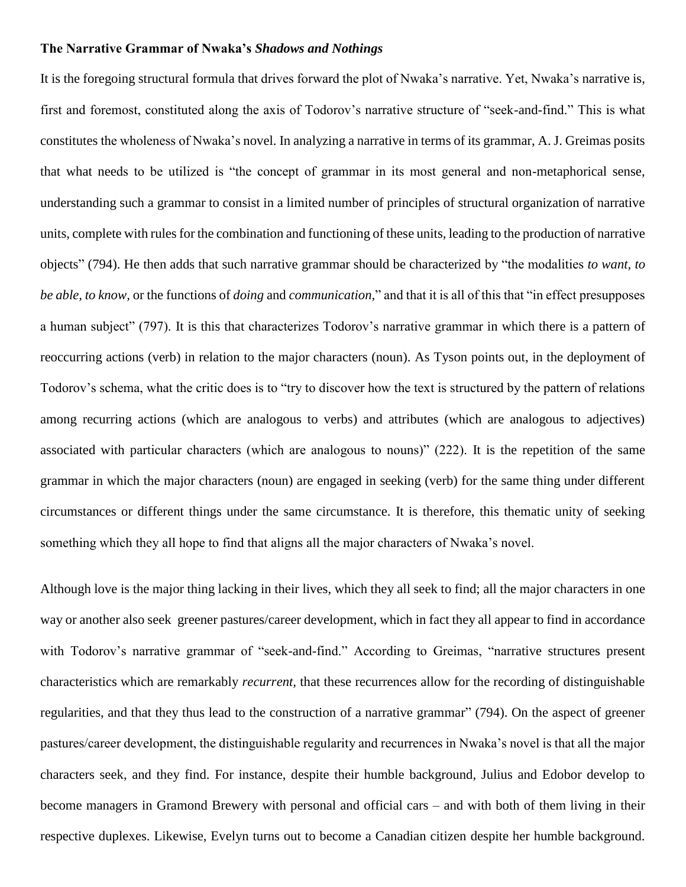### **The Narrative Grammar of Nwaka's** *Shadows and Nothings*

It is the foregoing structural formula that drives forward the plot of Nwaka's narrative. Yet, Nwaka's narrative is, first and foremost, constituted along the axis of Todorov's narrative structure of "seek-and-find." This is what constitutes the wholeness of Nwaka's novel. In analyzing a narrative in terms of its grammar, A. J. Greimas posits that what needs to be utilized is "the concept of grammar in its most general and non-metaphorical sense, understanding such a grammar to consist in a limited number of principles of structural organization of narrative units, complete with rules for the combination and functioning of these units, leading to the production of narrative objects" (794). He then adds that such narrative grammar should be characterized by "the modalities *to want, to be able, to know,* or the functions of *doing* and *communication,*" and that it is all of this that "in effect presupposes a human subject" (797). It is this that characterizes Todorov's narrative grammar in which there is a pattern of reoccurring actions (verb) in relation to the major characters (noun). As Tyson points out, in the deployment of Todorov's schema, what the critic does is to "try to discover how the text is structured by the pattern of relations among recurring actions (which are analogous to verbs) and attributes (which are analogous to adjectives) associated with particular characters (which are analogous to nouns)" (222). It is the repetition of the same grammar in which the major characters (noun) are engaged in seeking (verb) for the same thing under different circumstances or different things under the same circumstance. It is therefore, this thematic unity of seeking something which they all hope to find that aligns all the major characters of Nwaka's novel.

Although love is the major thing lacking in their lives, which they all seek to find; all the major characters in one way or another also seek greener pastures/career development, which in fact they all appear to find in accordance with Todorov's narrative grammar of "seek-and-find." According to Greimas, "narrative structures present characteristics which are remarkably *recurrent,* that these recurrences allow for the recording of distinguishable regularities, and that they thus lead to the construction of a narrative grammar" (794). On the aspect of greener pastures/career development, the distinguishable regularity and recurrences in Nwaka's novel is that all the major characters seek, and they find. For instance, despite their humble background, Julius and Edobor develop to become managers in Gramond Brewery with personal and official cars – and with both of them living in their respective duplexes. Likewise, Evelyn turns out to become a Canadian citizen despite her humble background.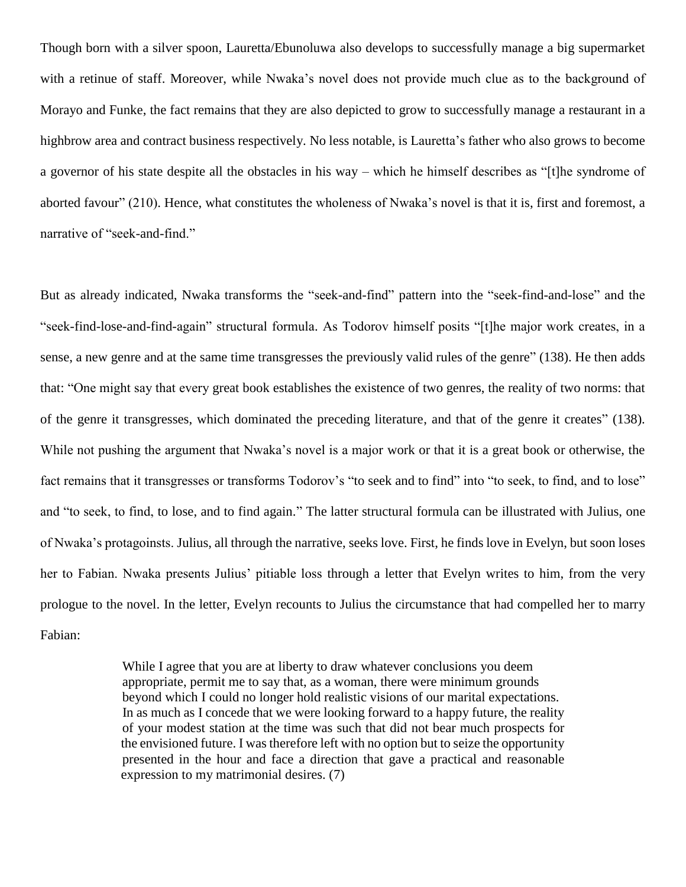Though born with a silver spoon, Lauretta/Ebunoluwa also develops to successfully manage a big supermarket with a retinue of staff. Moreover, while Nwaka's novel does not provide much clue as to the background of Morayo and Funke, the fact remains that they are also depicted to grow to successfully manage a restaurant in a highbrow area and contract business respectively. No less notable, is Lauretta's father who also grows to become a governor of his state despite all the obstacles in his way – which he himself describes as "[t]he syndrome of aborted favour" (210). Hence, what constitutes the wholeness of Nwaka's novel is that it is, first and foremost, a narrative of "seek-and-find."

But as already indicated, Nwaka transforms the "seek-and-find" pattern into the "seek-find-and-lose" and the "seek-find-lose-and-find-again" structural formula. As Todorov himself posits "[t]he major work creates, in a sense, a new genre and at the same time transgresses the previously valid rules of the genre" (138). He then adds that: "One might say that every great book establishes the existence of two genres, the reality of two norms: that of the genre it transgresses, which dominated the preceding literature, and that of the genre it creates" (138). While not pushing the argument that Nwaka's novel is a major work or that it is a great book or otherwise, the fact remains that it transgresses or transforms Todorov's "to seek and to find" into "to seek, to find, and to lose" and "to seek, to find, to lose, and to find again." The latter structural formula can be illustrated with Julius, one of Nwaka's protagoinsts. Julius, all through the narrative, seeks love. First, he finds love in Evelyn, but soon loses her to Fabian. Nwaka presents Julius' pitiable loss through a letter that Evelyn writes to him, from the very prologue to the novel. In the letter, Evelyn recounts to Julius the circumstance that had compelled her to marry Fabian:

> While I agree that you are at liberty to draw whatever conclusions you deem appropriate, permit me to say that, as a woman, there were minimum grounds beyond which I could no longer hold realistic visions of our marital expectations. In as much as I concede that we were looking forward to a happy future, the reality of your modest station at the time was such that did not bear much prospects for the envisioned future. I was therefore left with no option but to seize the opportunity presented in the hour and face a direction that gave a practical and reasonable expression to my matrimonial desires. (7)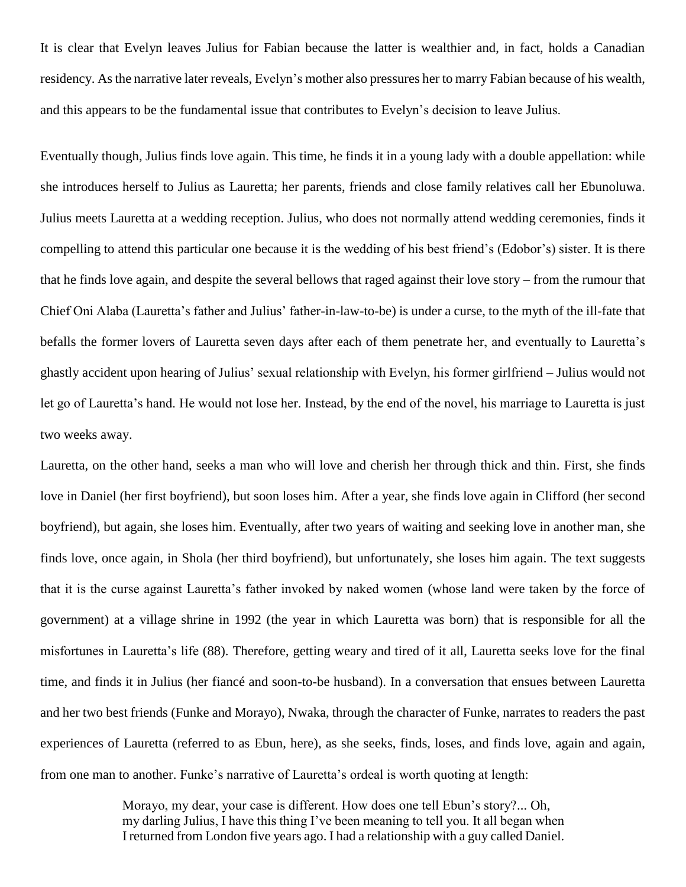It is clear that Evelyn leaves Julius for Fabian because the latter is wealthier and, in fact, holds a Canadian residency. As the narrative later reveals, Evelyn's mother also pressures her to marry Fabian because of his wealth, and this appears to be the fundamental issue that contributes to Evelyn's decision to leave Julius.

Eventually though, Julius finds love again. This time, he finds it in a young lady with a double appellation: while she introduces herself to Julius as Lauretta; her parents, friends and close family relatives call her Ebunoluwa. Julius meets Lauretta at a wedding reception. Julius, who does not normally attend wedding ceremonies, finds it compelling to attend this particular one because it is the wedding of his best friend's (Edobor's) sister. It is there that he finds love again, and despite the several bellows that raged against their love story – from the rumour that Chief Oni Alaba (Lauretta's father and Julius' father-in-law-to-be) is under a curse, to the myth of the ill-fate that befalls the former lovers of Lauretta seven days after each of them penetrate her, and eventually to Lauretta's ghastly accident upon hearing of Julius' sexual relationship with Evelyn, his former girlfriend – Julius would not let go of Lauretta's hand. He would not lose her. Instead, by the end of the novel, his marriage to Lauretta is just two weeks away.

Lauretta, on the other hand, seeks a man who will love and cherish her through thick and thin. First, she finds love in Daniel (her first boyfriend), but soon loses him. After a year, she finds love again in Clifford (her second boyfriend), but again, she loses him. Eventually, after two years of waiting and seeking love in another man, she finds love, once again, in Shola (her third boyfriend), but unfortunately, she loses him again. The text suggests that it is the curse against Lauretta's father invoked by naked women (whose land were taken by the force of government) at a village shrine in 1992 (the year in which Lauretta was born) that is responsible for all the misfortunes in Lauretta's life (88). Therefore, getting weary and tired of it all, Lauretta seeks love for the final time, and finds it in Julius (her fiancé and soon-to-be husband). In a conversation that ensues between Lauretta and her two best friends (Funke and Morayo), Nwaka, through the character of Funke, narrates to readers the past experiences of Lauretta (referred to as Ebun, here), as she seeks, finds, loses, and finds love, again and again, from one man to another. Funke's narrative of Lauretta's ordeal is worth quoting at length:

> Morayo, my dear, your case is different. How does one tell Ebun's story?... Oh, my darling Julius, I have this thing I've been meaning to tell you. It all began when I returned from London five years ago. I had a relationship with a guy called Daniel.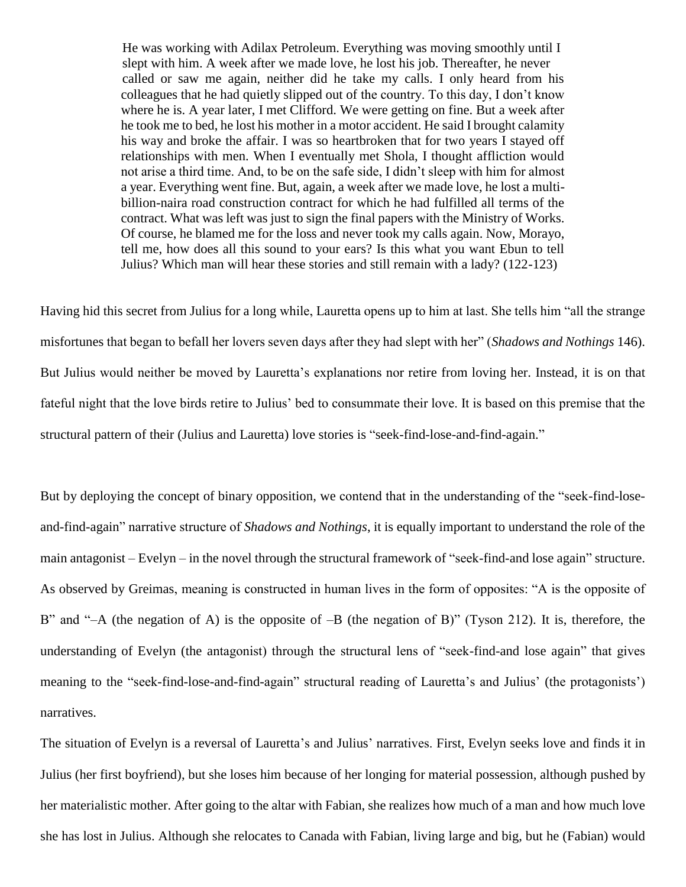He was working with Adilax Petroleum. Everything was moving smoothly until I slept with him. A week after we made love, he lost his job. Thereafter, he never called or saw me again, neither did he take my calls. I only heard from his colleagues that he had quietly slipped out of the country. To this day, I don't know where he is. A year later, I met Clifford. We were getting on fine. But a week after he took me to bed, he lost his mother in a motor accident. He said I brought calamity his way and broke the affair. I was so heartbroken that for two years I stayed off relationships with men. When I eventually met Shola, I thought affliction would not arise a third time. And, to be on the safe side, I didn't sleep with him for almost a year. Everything went fine. But, again, a week after we made love, he lost a multibillion-naira road construction contract for which he had fulfilled all terms of the contract. What was left was just to sign the final papers with the Ministry of Works. Of course, he blamed me for the loss and never took my calls again. Now, Morayo, tell me, how does all this sound to your ears? Is this what you want Ebun to tell Julius? Which man will hear these stories and still remain with a lady? (122-123)

Having hid this secret from Julius for a long while, Lauretta opens up to him at last. She tells him "all the strange misfortunes that began to befall her lovers seven days after they had slept with her" (*Shadows and Nothings* 146). But Julius would neither be moved by Lauretta's explanations nor retire from loving her. Instead, it is on that fateful night that the love birds retire to Julius' bed to consummate their love. It is based on this premise that the structural pattern of their (Julius and Lauretta) love stories is "seek-find-lose-and-find-again."

But by deploying the concept of binary opposition, we contend that in the understanding of the "seek-find-loseand-find-again" narrative structure of *Shadows and Nothings*, it is equally important to understand the role of the main antagonist – Evelyn – in the novel through the structural framework of "seek-find-and lose again" structure. As observed by Greimas, meaning is constructed in human lives in the form of opposites: "A is the opposite of B" and "-A (the negation of A) is the opposite of  $-B$  (the negation of B)" (Tyson 212). It is, therefore, the understanding of Evelyn (the antagonist) through the structural lens of "seek-find-and lose again" that gives meaning to the "seek-find-lose-and-find-again" structural reading of Lauretta's and Julius' (the protagonists') narratives.

The situation of Evelyn is a reversal of Lauretta's and Julius' narratives. First, Evelyn seeks love and finds it in Julius (her first boyfriend), but she loses him because of her longing for material possession, although pushed by her materialistic mother. After going to the altar with Fabian, she realizes how much of a man and how much love she has lost in Julius. Although she relocates to Canada with Fabian, living large and big, but he (Fabian) would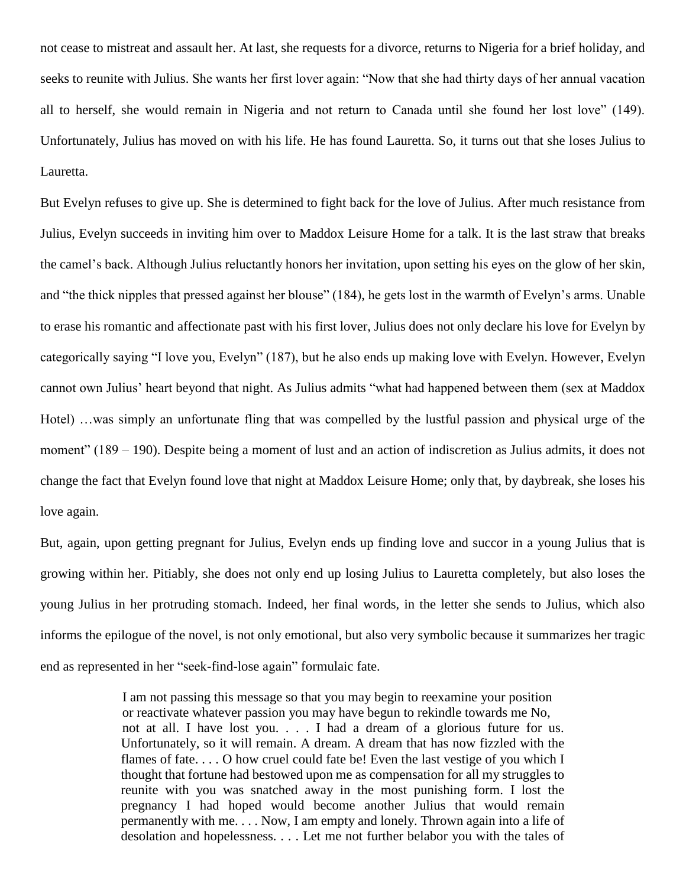not cease to mistreat and assault her. At last, she requests for a divorce, returns to Nigeria for a brief holiday, and seeks to reunite with Julius. She wants her first lover again: "Now that she had thirty days of her annual vacation all to herself, she would remain in Nigeria and not return to Canada until she found her lost love" (149). Unfortunately, Julius has moved on with his life. He has found Lauretta. So, it turns out that she loses Julius to Lauretta.

But Evelyn refuses to give up. She is determined to fight back for the love of Julius. After much resistance from Julius, Evelyn succeeds in inviting him over to Maddox Leisure Home for a talk. It is the last straw that breaks the camel's back. Although Julius reluctantly honors her invitation, upon setting his eyes on the glow of her skin, and "the thick nipples that pressed against her blouse" (184), he gets lost in the warmth of Evelyn's arms. Unable to erase his romantic and affectionate past with his first lover, Julius does not only declare his love for Evelyn by categorically saying "I love you, Evelyn" (187), but he also ends up making love with Evelyn. However, Evelyn cannot own Julius' heart beyond that night. As Julius admits "what had happened between them (sex at Maddox Hotel) …was simply an unfortunate fling that was compelled by the lustful passion and physical urge of the moment" (189 – 190). Despite being a moment of lust and an action of indiscretion as Julius admits, it does not change the fact that Evelyn found love that night at Maddox Leisure Home; only that, by daybreak, she loses his love again.

But, again, upon getting pregnant for Julius, Evelyn ends up finding love and succor in a young Julius that is growing within her. Pitiably, she does not only end up losing Julius to Lauretta completely, but also loses the young Julius in her protruding stomach. Indeed, her final words, in the letter she sends to Julius, which also informs the epilogue of the novel, is not only emotional, but also very symbolic because it summarizes her tragic end as represented in her "seek-find-lose again" formulaic fate.

> I am not passing this message so that you may begin to reexamine your position or reactivate whatever passion you may have begun to rekindle towards me No, not at all. I have lost you. . . . I had a dream of a glorious future for us. Unfortunately, so it will remain. A dream. A dream that has now fizzled with the flames of fate. . . . O how cruel could fate be! Even the last vestige of you which I thought that fortune had bestowed upon me as compensation for all my struggles to reunite with you was snatched away in the most punishing form. I lost the pregnancy I had hoped would become another Julius that would remain permanently with me. . . . Now, I am empty and lonely. Thrown again into a life of desolation and hopelessness. . . . Let me not further belabor you with the tales of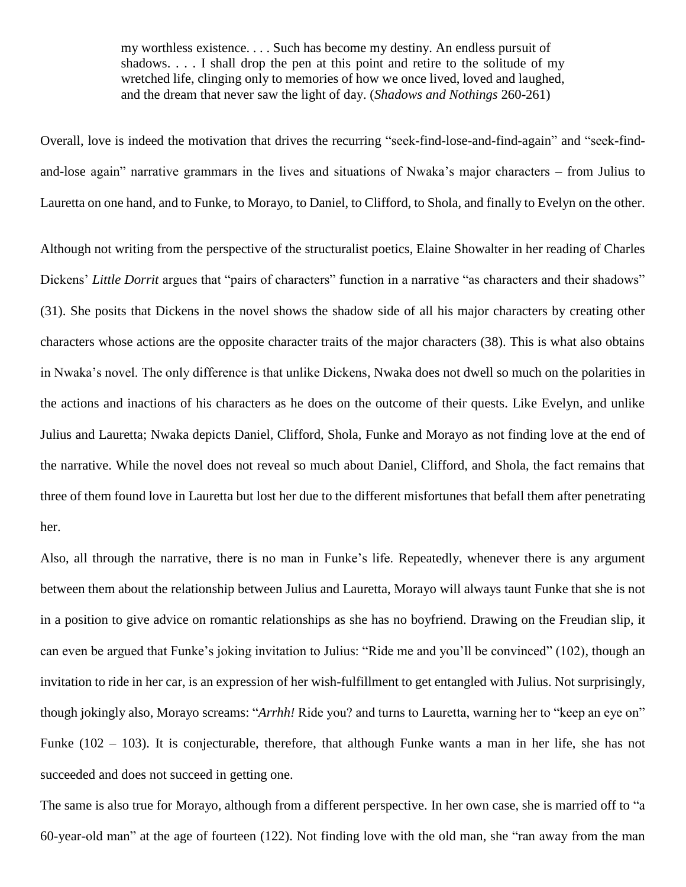my worthless existence. . . . Such has become my destiny. An endless pursuit of shadows. . . . I shall drop the pen at this point and retire to the solitude of my wretched life, clinging only to memories of how we once lived, loved and laughed, and the dream that never saw the light of day. (*Shadows and Nothings* 260-261)

Overall, love is indeed the motivation that drives the recurring "seek-find-lose-and-find-again" and "seek-findand-lose again" narrative grammars in the lives and situations of Nwaka's major characters – from Julius to Lauretta on one hand, and to Funke, to Morayo, to Daniel, to Clifford, to Shola, and finally to Evelyn on the other.

Although not writing from the perspective of the structuralist poetics, Elaine Showalter in her reading of Charles Dickens' *Little Dorrit* argues that "pairs of characters" function in a narrative "as characters and their shadows" (31). She posits that Dickens in the novel shows the shadow side of all his major characters by creating other characters whose actions are the opposite character traits of the major characters (38). This is what also obtains in Nwaka's novel. The only difference is that unlike Dickens, Nwaka does not dwell so much on the polarities in the actions and inactions of his characters as he does on the outcome of their quests. Like Evelyn, and unlike Julius and Lauretta; Nwaka depicts Daniel, Clifford, Shola, Funke and Morayo as not finding love at the end of the narrative. While the novel does not reveal so much about Daniel, Clifford, and Shola, the fact remains that three of them found love in Lauretta but lost her due to the different misfortunes that befall them after penetrating her.

Also, all through the narrative, there is no man in Funke's life. Repeatedly, whenever there is any argument between them about the relationship between Julius and Lauretta, Morayo will always taunt Funke that she is not in a position to give advice on romantic relationships as she has no boyfriend. Drawing on the Freudian slip, it can even be argued that Funke's joking invitation to Julius: "Ride me and you'll be convinced" (102), though an invitation to ride in her car, is an expression of her wish-fulfillment to get entangled with Julius. Not surprisingly, though jokingly also, Morayo screams: "*Arrhh!* Ride you? and turns to Lauretta, warning her to "keep an eye on" Funke (102 – 103). It is conjecturable, therefore, that although Funke wants a man in her life, she has not succeeded and does not succeed in getting one.

The same is also true for Morayo, although from a different perspective. In her own case, she is married off to "a 60-year-old man" at the age of fourteen (122). Not finding love with the old man, she "ran away from the man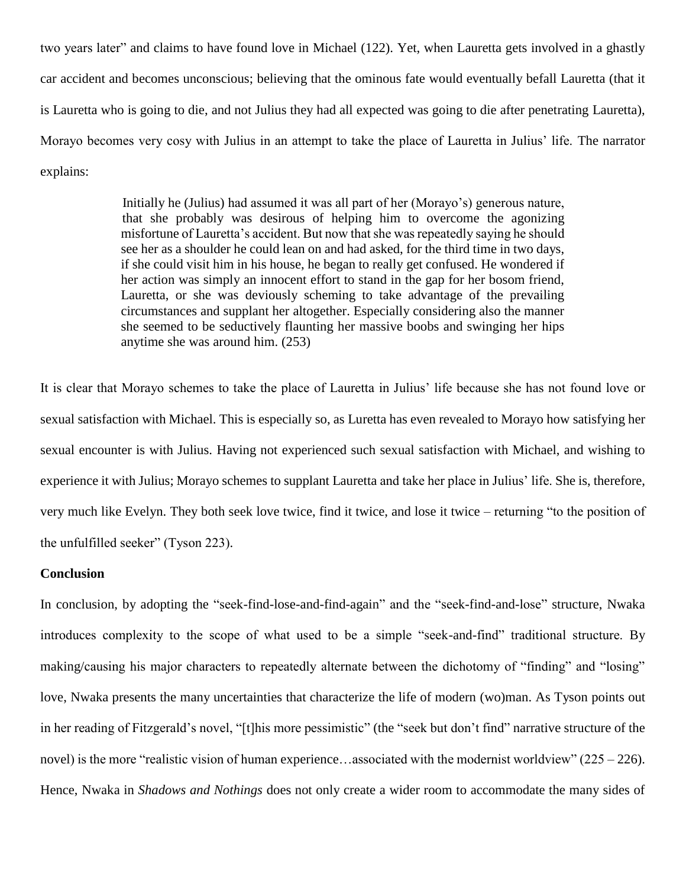two years later" and claims to have found love in Michael (122). Yet, when Lauretta gets involved in a ghastly car accident and becomes unconscious; believing that the ominous fate would eventually befall Lauretta (that it is Lauretta who is going to die, and not Julius they had all expected was going to die after penetrating Lauretta), Morayo becomes very cosy with Julius in an attempt to take the place of Lauretta in Julius' life. The narrator explains:

> Initially he (Julius) had assumed it was all part of her (Morayo's) generous nature, that she probably was desirous of helping him to overcome the agonizing misfortune of Lauretta's accident. But now that she was repeatedly saying he should see her as a shoulder he could lean on and had asked, for the third time in two days, if she could visit him in his house, he began to really get confused. He wondered if her action was simply an innocent effort to stand in the gap for her bosom friend, Lauretta, or she was deviously scheming to take advantage of the prevailing circumstances and supplant her altogether. Especially considering also the manner she seemed to be seductively flaunting her massive boobs and swinging her hips anytime she was around him. (253)

It is clear that Morayo schemes to take the place of Lauretta in Julius' life because she has not found love or sexual satisfaction with Michael. This is especially so, as Luretta has even revealed to Morayo how satisfying her sexual encounter is with Julius. Having not experienced such sexual satisfaction with Michael, and wishing to experience it with Julius; Morayo schemes to supplant Lauretta and take her place in Julius' life. She is, therefore, very much like Evelyn. They both seek love twice, find it twice, and lose it twice – returning "to the position of the unfulfilled seeker" (Tyson 223).

# **Conclusion**

In conclusion, by adopting the "seek-find-lose-and-find-again" and the "seek-find-and-lose" structure, Nwaka introduces complexity to the scope of what used to be a simple "seek-and-find" traditional structure. By making/causing his major characters to repeatedly alternate between the dichotomy of "finding" and "losing" love, Nwaka presents the many uncertainties that characterize the life of modern (wo)man. As Tyson points out in her reading of Fitzgerald's novel, "[t]his more pessimistic" (the "seek but don't find" narrative structure of the novel) is the more "realistic vision of human experience...associated with the modernist worldview" (225 – 226). Hence, Nwaka in *Shadows and Nothings* does not only create a wider room to accommodate the many sides of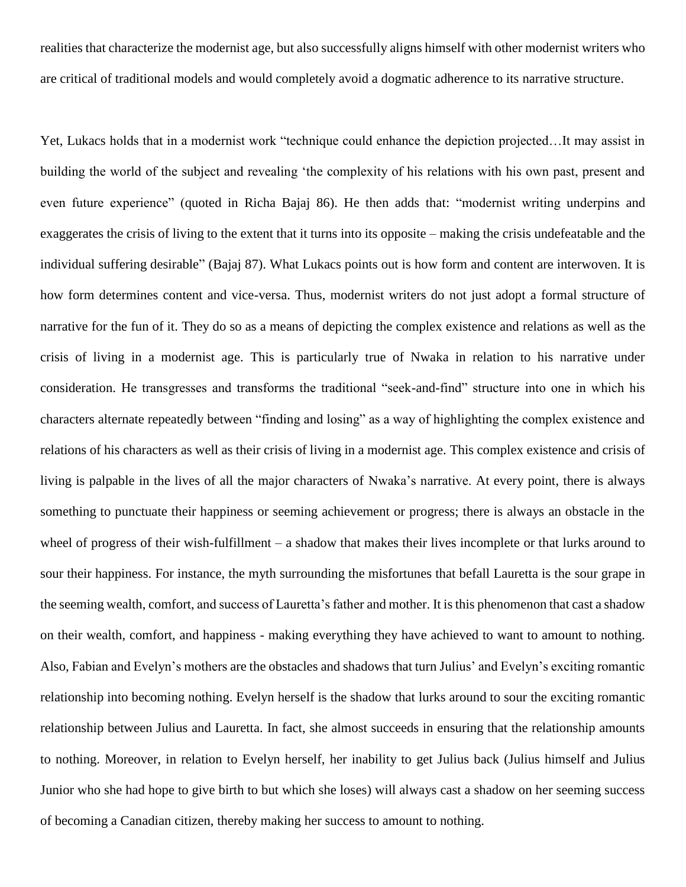realities that characterize the modernist age, but also successfully aligns himself with other modernist writers who are critical of traditional models and would completely avoid a dogmatic adherence to its narrative structure.

Yet, Lukacs holds that in a modernist work "technique could enhance the depiction projected…It may assist in building the world of the subject and revealing 'the complexity of his relations with his own past, present and even future experience" (quoted in Richa Bajaj 86). He then adds that: "modernist writing underpins and exaggerates the crisis of living to the extent that it turns into its opposite – making the crisis undefeatable and the individual suffering desirable" (Bajaj 87). What Lukacs points out is how form and content are interwoven. It is how form determines content and vice-versa. Thus, modernist writers do not just adopt a formal structure of narrative for the fun of it. They do so as a means of depicting the complex existence and relations as well as the crisis of living in a modernist age. This is particularly true of Nwaka in relation to his narrative under consideration. He transgresses and transforms the traditional "seek-and-find" structure into one in which his characters alternate repeatedly between "finding and losing" as a way of highlighting the complex existence and relations of his characters as well as their crisis of living in a modernist age. This complex existence and crisis of living is palpable in the lives of all the major characters of Nwaka's narrative. At every point, there is always something to punctuate their happiness or seeming achievement or progress; there is always an obstacle in the wheel of progress of their wish-fulfillment – a shadow that makes their lives incomplete or that lurks around to sour their happiness. For instance, the myth surrounding the misfortunes that befall Lauretta is the sour grape in the seeming wealth, comfort, and success of Lauretta's father and mother. It is this phenomenon that cast a shadow on their wealth, comfort, and happiness - making everything they have achieved to want to amount to nothing. Also, Fabian and Evelyn's mothers are the obstacles and shadows that turn Julius' and Evelyn's exciting romantic relationship into becoming nothing. Evelyn herself is the shadow that lurks around to sour the exciting romantic relationship between Julius and Lauretta. In fact, she almost succeeds in ensuring that the relationship amounts to nothing. Moreover, in relation to Evelyn herself, her inability to get Julius back (Julius himself and Julius Junior who she had hope to give birth to but which she loses) will always cast a shadow on her seeming success of becoming a Canadian citizen, thereby making her success to amount to nothing.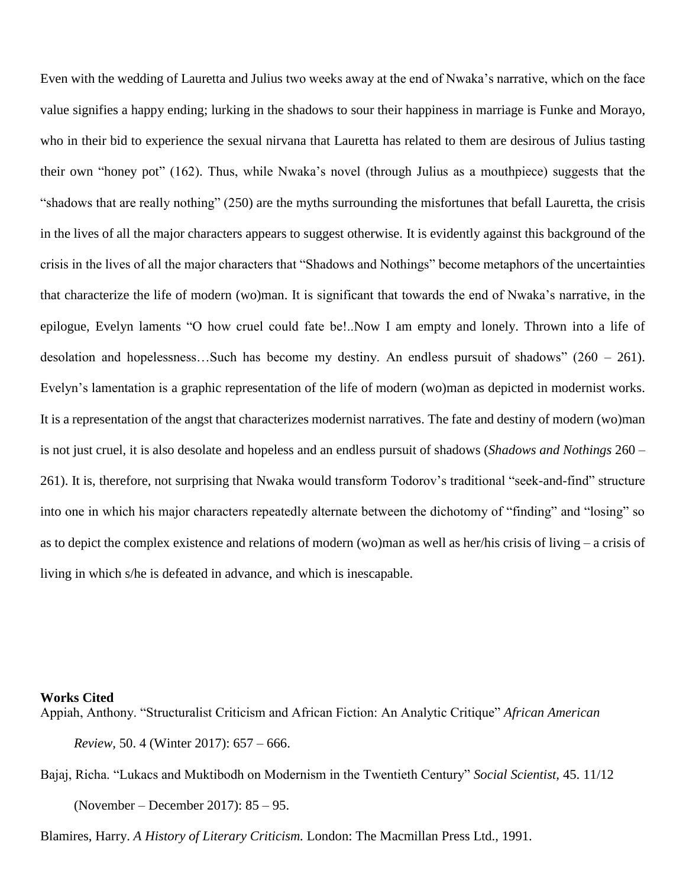Even with the wedding of Lauretta and Julius two weeks away at the end of Nwaka's narrative, which on the face value signifies a happy ending; lurking in the shadows to sour their happiness in marriage is Funke and Morayo, who in their bid to experience the sexual nirvana that Lauretta has related to them are desirous of Julius tasting their own "honey pot" (162). Thus, while Nwaka's novel (through Julius as a mouthpiece) suggests that the "shadows that are really nothing" (250) are the myths surrounding the misfortunes that befall Lauretta, the crisis in the lives of all the major characters appears to suggest otherwise. It is evidently against this background of the crisis in the lives of all the major characters that "Shadows and Nothings" become metaphors of the uncertainties that characterize the life of modern (wo)man. It is significant that towards the end of Nwaka's narrative, in the epilogue, Evelyn laments "O how cruel could fate be!..Now I am empty and lonely. Thrown into a life of desolation and hopelessness…Such has become my destiny. An endless pursuit of shadows" (260 – 261). Evelyn's lamentation is a graphic representation of the life of modern (wo)man as depicted in modernist works. It is a representation of the angst that characterizes modernist narratives. The fate and destiny of modern (wo)man is not just cruel, it is also desolate and hopeless and an endless pursuit of shadows (*Shadows and Nothings* 260 – 261). It is, therefore, not surprising that Nwaka would transform Todorov's traditional "seek-and-find" structure into one in which his major characters repeatedly alternate between the dichotomy of "finding" and "losing" so as to depict the complex existence and relations of modern (wo)man as well as her/his crisis of living – a crisis of living in which s/he is defeated in advance, and which is inescapable.

## **Works Cited**

Appiah, Anthony. "Structuralist Criticism and African Fiction: An Analytic Critique" *African American Review,* 50. 4 (Winter 2017): 657 – 666.

Bajaj, Richa. "Lukacs and Muktibodh on Modernism in the Twentieth Century" *Social Scientist,* 45. 11/12 (November – December 2017): 85 – 95.

Blamires, Harry. *A History of Literary Criticism.* London: The Macmillan Press Ltd., 1991.